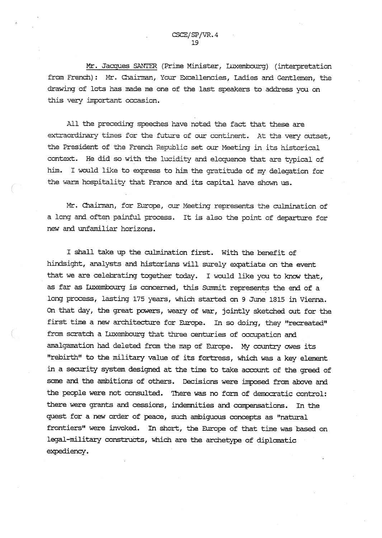Mr. Jacques SANTER (Prime Minister, Luxembourg) (interpretation from French): Mr. Chairman, Your Excellencies, Ladies and Gentlemen, the drawing of lots has made me one of the last speakers to address you on this very important occasion.

All the preceding speeches have noted the fact that these are extraordinary times for the future of our continent. At tha very outset, the President of the French Republic set. our Meeting in its historical context. Hе did so with the lucidity and eloquence that are typical of him. I would like to express to him the gratitude of my delegation for the warm hospitality that France and its capital have shown us.

Mr. Chairman, for Europe, our Meeting represents the culmination of a long and often painful process. It is also the point of departure for new and unfamiliar horizons.

I Shall take up the culmination first. With the benefit of hindsight, analysts and historians will surely expatiate on the event that we are celebrating together today. I would like you to know that, as far as Luxembourg is concerned, this Summit represents the end of a long process, lasting 175 years, which started on 9 June 1815 in Vienna. on that day, the great powers, weary of war, jointly sketched out for the first time a new architecture for Europe. In so doing, they "recreated" from scxatch a Luxembourg that three centuries of occupation and amalgamation had deleted from the maр of Europe. My country owes its "rebirth" to the military value of its fortress, which was a key element in a security system designed at the time to take account of the greed of some and the ambitions of others. Decisions were imposed from abovе and the people were not consulted. There was no form of democratic control: there were grants and cessions, indemnities and compensations. In the quest for a new order of peace, such ambiguous concepts as "natural frontiers" were invoked. In short, the Europe of that time was based on legal-military constructs, which are the archetype of diplomatic expediency.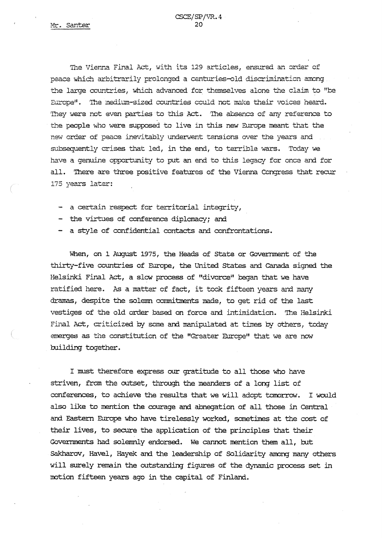The Vienna Final Act, with its 129 articles, ensured an order of peace which arbitrarily prolonged a centuries-old discrimination- among the large countries, which advanced for themselves alone the claim to "be Europe". The medium-sized countries could not make their voices heard. They were not even parties to this Act. The absence of any reference to the people who were supposed to live in this new Europe meant that the new order of peace inevitably underwent tensions over the years and subsequently crises that led, in the end, to terrible wars. Today we have a genuine opportunity to put an end to this legacy for once and for all. flюге are three positive features of the Vienna Congress that recur 175 years later:

- a certain respect for territorial integrity,
- the virtues of conference diplomacy; and
- a style of confidential contacts and confrontations.

When, on 1 August 1975, the Heads of State or Government of the thirty-five countries of Europe, the United States and canada signed the Helsinki Final Act, a slow process of "divorce" began that we have ratified here. As a matter of fact, it took fifteen years and many<br>dramas, despite the solemn commitments made, to get rid of the last vestiges of the old order based on force and intimidation. The Helsinki Final Act, criticized by some and manipulated at tires by others, today emerges as the constitution of the "Greater Europe" that we are now building together.

I must therefore express our gratitude to all those who have striven, from the outset, through the meanders of a long list of conferences, to achieve the results that we will adopt tomorrow. I would also like to mention the courage and abnegation of all those in Central and Eastern Europe who have tirelessly worked, sometimes at the cost of their lives, to secure the application of the principles that their Governments had solemnly endorsed. We cannot mention them all, but Sakharov, Havel, Hayek and the leadership of Solidarity among many others will surely remain the outstanding figures of the dynamic process set in motion fifteen years ago in the capital of Finland.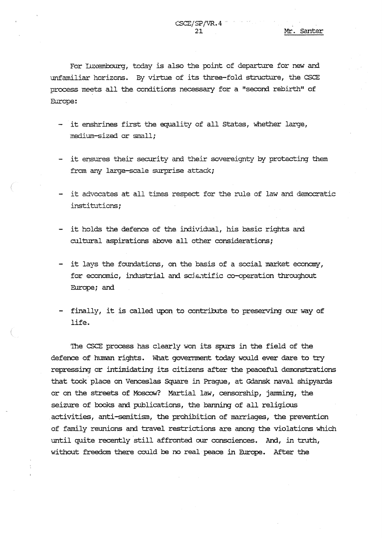For inxembourg, today is also the point of departure for new and unfamiliar horizons. ву virtue of its three-fold structure, the CSCE process meets all the conditions necessary for a "second rebirth" of Europe:

- it enshrines first the equality of all States, whether large, medium-sized or small;
- it ensures their security and their sovereignty by protecting them from any large-scale surprise attack;
- it advocates at all times respect for the rule of law and democratic institutions;
- it holds the defence of the individual, his basic rights and cultural aspirations above all other considerations;
- it lays the foundations, on the basis of a social market economy, for economic, industrial and scientific co-operation throughout Europe; and
- finally, it is called upon to contribute to preserving our way of life.

The CSCE process has clearly won its spurs in the field of the defence of human rights. What government today would ever dare to try repressing or intimidating its citizens after the peaceful demonstrations that took place on Venceslas square in Prague, at Gdansk naval shipyards or on the streets of Moscow? Martial law, censorship, jamming, the seizure of books and publications, the banning of all religious activities, anti-semitism, the prohibition of marriages, the prevention of family reunions and travel restrictions are among the violations which until quite recently still affronted our consciences. And, in truth, without freedom there could be no real peace in Europe. After the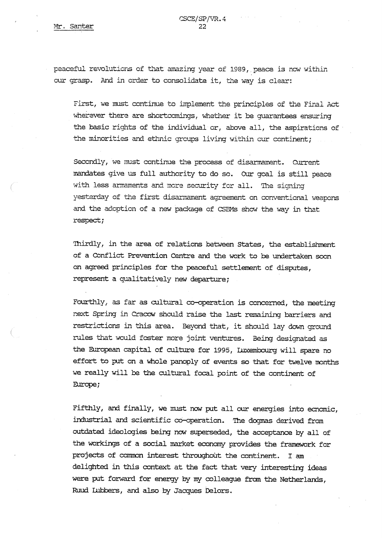peaceful revolutions of that amazing year of 1989, peace is now within our grasp. And in order to consolidate it, the way is clear:

First, we must continue to implement the principles of the Final Act wherever there are shortcomings, whether it be guarantees ensuring the hasic rights of the individual'or, above all, the aspirations of the minorities and ethnic groups living within cur continent;

Secondly, we must continue the process of disarmament. Current mandates give us full authority to do so. Our goal is still peace with less armaments and more security for all. Тhe signing yesterday of the first disarmament agreement on conventional weapons and the adoption of a new package of CSBMs show the way in that respect;

Thirdly, in the area of relations between States, the establishment of a Conflict Prevention Centre and the work to be undertaken soon on agreed principles for the peaceful settlement of disputes, represent a qualitatively new departure;

Fourthly, as far as cultural co-operation is concerned, the neeting next Spring in Cracow should raise the last remaining barriers and restrictions in this area. Вeyond that, it should lay down ground rules that would foster nore joint ventures. Being designated as the European capital of culture for 1995, Lizcembourg will spare no effort to put on a whole panoply of events so that for twelve months we resily will be the cultural focal point of the continent of Europe;

Fifthly, and finally, we must now put all our energies into ecnomic, industrial and scientific co-operation. The dogmas derived from outdated ideologies being now superseded, the acceptance by all of the workings of a social market economy provides the framework for projects of common interest throughoût the continent. I am delighted in this context at the fact that very interesting ideas were put forward for energy by my colleague from the Netherlands, Ruud Lubbers, and also by Jacques Delors.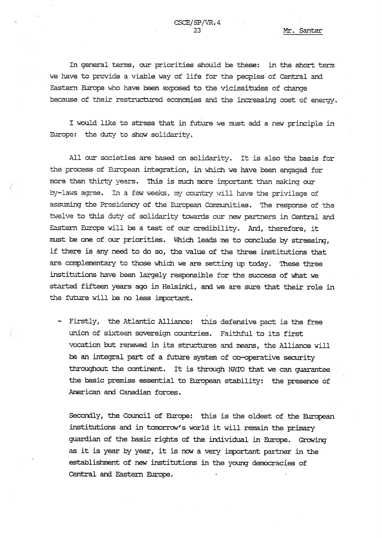In general terms, our priorities should be these: in the short term we have to provide a viable way of life for the peoples of Central and Eastern Europe who have been exposed to the vicissitudes of change because of their restructured economies and the increasing cost of energy.

I would like to stress that in future we must add a new principle in Europe: the duty to show solidarity.

All our societies are based on solidarity. It is also the basis for the process of European integration, in which we have been engaged for more than thirty years. This is much more important than making our by-laws agree. In a few weeks, my country will have the privilege of assuming the Presidency of the European Communities. The response of the twelve to this duty of solidarity towards our new partners in Central and Eastern Europe will be a test of our credibility. And, therefore, it must be one of our priorities. Which leads me to conclude by stressing, if there is any need to do so, the value of the three institutions that are complementary to those which we are setting up today. These three institutions have been largely responsible for the success of what we started fifteen years ago in Helsinki, and we are sure that their role in the future will be no less important.

- Firstly, the Atlantic Alliance: this defensive pact is the free union of sixteen sovereign countries. Faithful to its first vocation but renewed in its structures and means, the Alliance will be an integral part of a future system of co-operative security throughout the continent. It is through NATO that we can guarantee the basic premiss essential to European stability: the presence of American and Canadian forces.

Secondly, the Council of Europe: this is the oldest of the European institutions and in tomorrow's world it will remain the primary guardian of the basic rights of the individual in Europe. Growing as it is year by year, it is now a very important partner in the establishment of new institutions in the young democracies of Central and Eastern Europe.